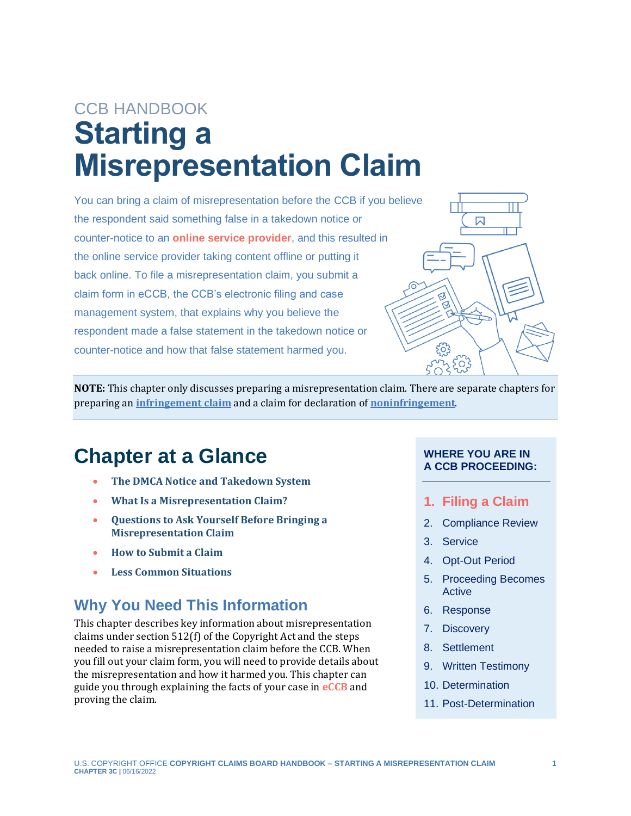# CCB HANDBOOK **Starting a Misrepresentation Claim**

<span id="page-0-1"></span>You can bring a claim of misrepresentation before the CCB if you believe the respondent said something false in a takedown notice or counter-notice to an **[online service provider](#page-12-0)**, and this resulted in the online service provider taking content offline or putting it back online. To file a misrepresentation claim, you submit a claim form in eCCB, the CCB's electronic filing and case management system, that explains why you believe the respondent made a false statement in the takedown notice or counter-notice and how that false statement harmed you.



**NOTE:** This chapter only discusses preparing a misrepresentation claim. There are separate chapters for preparing an **[infringement claim](https://ccb.gov/handbook/Infringement-Claim.pdf)** and a claim for declaration of **[noninfringement](https://ccb.gov/handbook/Noninfringement-Claim.pdf)**.

## **Chapter at a Glance**

- **The DMCA Notice and [Takedown System](#page-2-0)**
- **[What Is a Misrepresentation Claim?](#page-2-1)**
- **[Questions to Ask Yourself Before Bringing a](#page-3-0)  [Misrepresentation Claim](#page-3-0)**
- **[How to Submit a Claim](#page-5-0)**
- **[Less Common Situations](#page-11-0)**

## **Why You Need This Information**

This chapter describes key information about misrepresentation claims under section 512(f) of the Copyright Act and the steps needed to raise a misrepresentation claim before the CCB. When you fill out your claim form, you will need to provide details about the misrepresentation and how it harmed you. This chapter can guide you through explaining the facts of your case in **[eCCB](#page-12-0)** and proving the claim.

#### **WHERE YOU ARE IN A CCB PROCEEDING:**

- **1. Filing a Claim**
- 2. Compliance Review
- 3. Service
- 4. Opt-Out Period
- 5. Proceeding Becomes Active
- 6. Response
- 7. Discovery
- 8. Settlement
- 9. Written Testimony
- <span id="page-0-0"></span>10. Determination
- 11. Post-Determination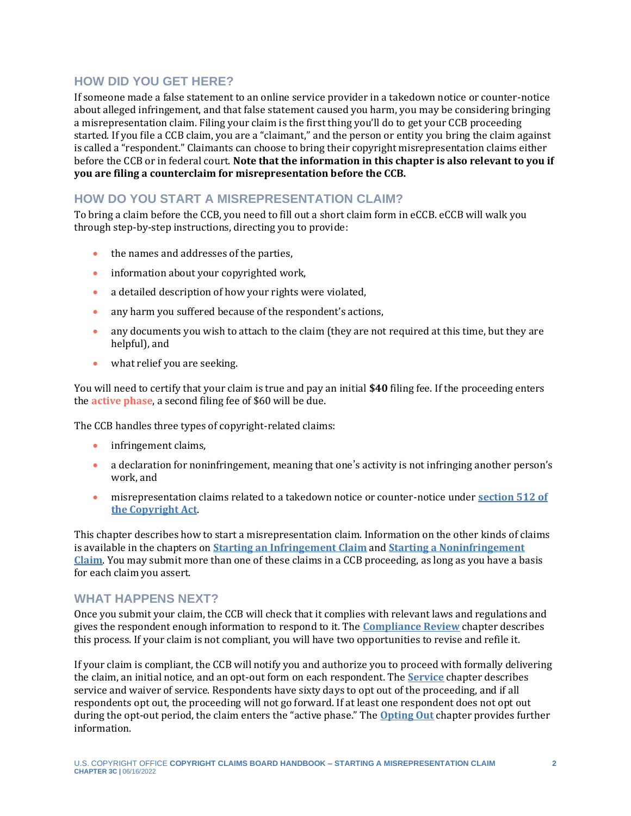#### **HOW DID YOU GET HERE?**

If someone made a false statement to an online service provider in a takedown notice or counter-notice about alleged infringement, and that false statement caused you harm, you may be considering bringing a misrepresentation claim. Filing your claim is the first thing you'll do to get your CCB proceeding started. If you file a CCB claim, you are a "claimant," and the person or entity you bring the claim against is called a "respondent." Claimants can choose to bring their copyright misrepresentation claims either before the CCB or in federal court. **Note that the information in this chapter is also relevant to you if you are filing a counterclaim for misrepresentation before the CCB.**

#### **HOW DO YOU START A MISREPRESENTATION CLAIM?**

To bring a claim before the CCB, you need to fill out a short claim form in eCCB. eCCB will walk you through step-by-step instructions, directing you to provide:

- the names and addresses of the parties,
- information about your copyrighted work,
- a detailed description of how your rights were violated,
- any harm you suffered because of the respondent's actions,
- any documents you wish to attach to the claim (they are not required at this time, but they are helpful), and
- what relief you are seeking.

<span id="page-1-0"></span>You will need to certify that your claim is true and pay an initial **\$40** filing fee. If the proceeding enters the **[active phase](#page-12-0)**, a second filing fee of \$60 will be due.

The CCB handles three types of copyright-related claims:

- infringement claims,
- a declaration for noninfringement, meaning that one's activity is not infringing another person's work, and
- misrepresentation claims related to a takedown notice or counter-notice under **[section 512 of](https://copyright.gov/title17/92chap5.html#512)  [the Copyright Act](https://copyright.gov/title17/92chap5.html#512)**.

This chapter describes how to start a misrepresentation claim. Information on the other kinds of claims is available in the chapters on **[Starting an Infringement Claim](https://ccb.gov/handbook/Infringement-Claim.pdf)** and **[Starting a Noninfringement](https://ccb.gov/handbook/Noninfringement-Claim.pdf)  [Claim](https://ccb.gov/handbook/Noninfringement-Claim.pdf)**. You may submit more than one of these claims in a CCB proceeding, as long as you have a basis for each claim you assert.

#### **WHAT HAPPENS NEXT?**

Once you submit your claim, the CCB will check that it complies with relevant laws and regulations and gives the respondent enough information to respond to it. The **[Compliance Review](https://ccb.gov/handbook/Compliance.pdf)** chapter describes this process. If your claim is not compliant, you will have two opportunities to revise and refile it.

If your claim is compliant, the CCB will notify you and authorize you to proceed with formally delivering the claim, an initial notice, and an opt-out form on each respondent. The **[Service](https://ccb.gov/handbook/Service.pdf)** chapter describes service and waiver of service. Respondents have sixty days to opt out of the proceeding, and if all respondents opt out, the proceeding will not go forward. If at least one respondent does not opt out during the opt-out period, the claim enters the "active phase." The **[Opting Out](https://ccb.gov/handbook/Opting-Out.pdf)** chapter provides further information.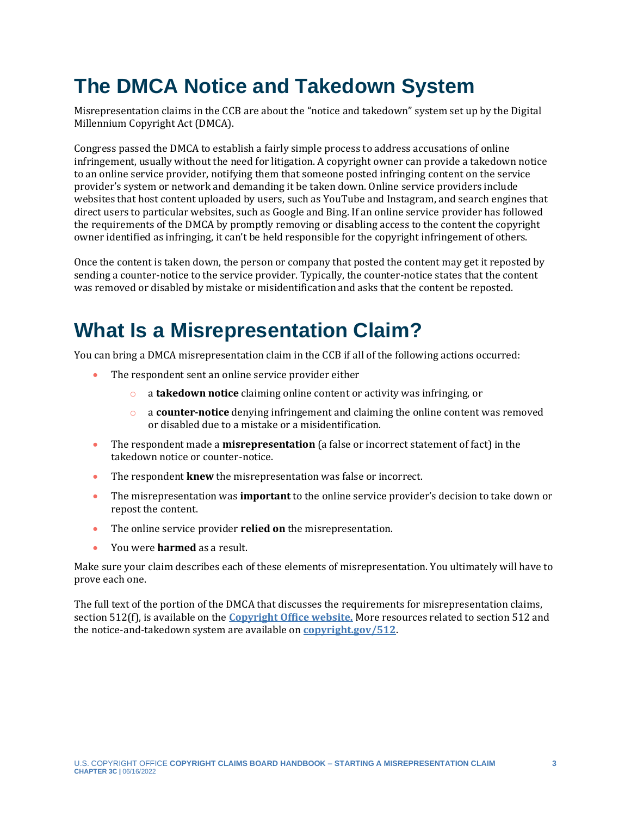## <span id="page-2-0"></span>**The DMCA Notice and Takedown System**

Misrepresentation claims in the CCB are about the "notice and takedown" system set up by the Digital Millennium Copyright Act (DMCA).

Congress passed the DMCA to establish a fairly simple process to address accusations of online infringement, usually without the need for litigation. A copyright owner can provide a takedown notice to an online service provider, notifying them that someone posted infringing content on the service provider's system or network and demanding it be taken down. Online service providers include websites that host content uploaded by users, such as YouTube and Instagram, and search engines that direct users to particular websites, such as Google and Bing. If an online service provider has followed the requirements of the DMCA by promptly removing or disabling access to the content the copyright owner identified as infringing, it can't be held responsible for the copyright infringement of others.

Once the content is taken down, the person or company that posted the content may get it reposted by sending a counter-notice to the service provider. Typically, the counter-notice states that the content was removed or disabled by mistake or misidentification and asks that the content be reposted.

## <span id="page-2-1"></span>**What Is a Misrepresentation Claim?**

You can bring a DMCA misrepresentation claim in the CCB if all of the following actions occurred:

- The respondent sent an online service provider either
	- o a **takedown notice** claiming online content or activity was infringing, or
	- o a **counter-notice** denying infringement and claiming the online content was removed or disabled due to a mistake or a misidentification.
- The respondent made a **misrepresentation** (a false or incorrect statement of fact) in the takedown notice or counter-notice.
- The respondent **knew** the misrepresentation was false or incorrect.
- The misrepresentation was **important** to the online service provider's decision to take down or repost the content.
- The online service provider **relied on** the misrepresentation.
- You were **harmed** as a result.

Make sure your claim describes each of these elements of misrepresentation. You ultimately will have to prove each one.

The full text of the portion of the DMCA that discusses the requirements for misrepresentation claims, section 512(f), is available on the **[Copyright Office website.](https://copyright.gov/title17/92chap5.html#512)** More resources related to section 512 and the notice-and-takedown system are available on **[copyright.gov/](https://www.copyright.gov/512)512**.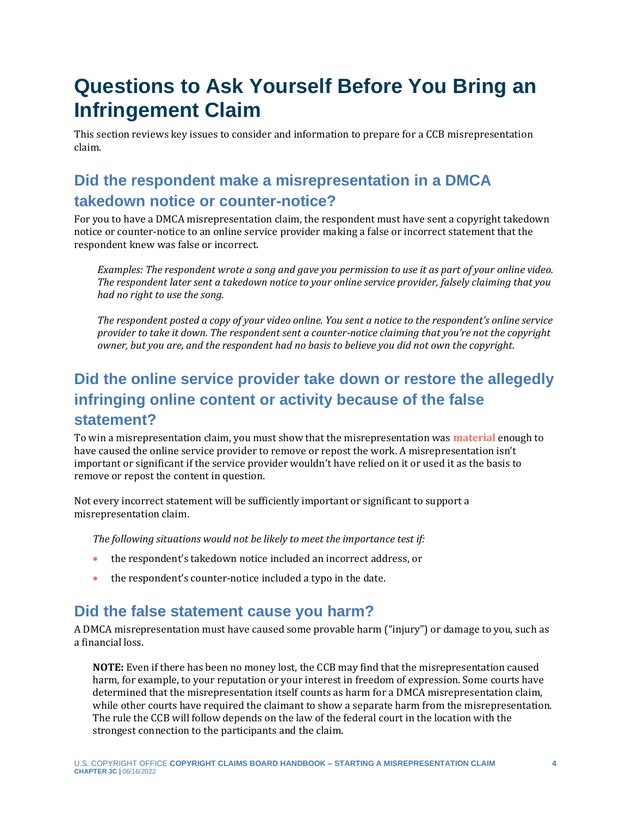## <span id="page-3-0"></span>**Questions to Ask Yourself Before You Bring an Infringement Claim**

This section reviews key issues to consider and information to prepare for a CCB misrepresentation claim.

## **Did the respondent make a misrepresentation in a DMCA takedown notice or counter-notice?**

For you to have a DMCA misrepresentation claim, the respondent must have sent a copyright takedown notice or counter-notice to an online service provider making a false or incorrect statement that the respondent knew was false or incorrect.

*Examples: The respondent wrote a song and gave you permission to use it as part of your online video. The respondent later sent a takedown notice to your online service provider, falsely claiming that you had no right to use the song.*

*The respondent posted a copy of your video online. You sent a notice to the respondent's online service provider to take it down. The respondent sent a counter-notice claiming that you're not the copyright owner, but you are, and the respondent had no basis to believe you did not own the copyright.*

## **Did the online service provider take down or restore the allegedly infringing online content or activity because of the false statement?**

To win a misrepresentation claim, you must show that the misrepresentation was **[material](#page-12-0)** enough to have caused the online service provider to remove or repost the work. A misrepresentation isn't important or significant if the service provider wouldn't have relied on it or used it as the basis to remove or repost the content in question.

Not every incorrect statement will be sufficiently important or significant to support a misrepresentation claim.

<span id="page-3-1"></span>*The following situations would not be likely to meet the importance test if:*

- the respondent's takedown notice included an incorrect address, or
- the respondent's counter-notice included a typo in the date.

## **Did the false statement cause you harm?**

A DMCA misrepresentation must have caused some provable harm ("injury") or damage to you, such as a financial loss.

**NOTE:** Even if there has been no money lost, the CCB may find that the misrepresentation caused harm, for example, to your reputation or your interest in freedom of expression. Some courts have determined that the misrepresentation itself counts as harm for a DMCA misrepresentation claim, while other courts have required the claimant to show a separate harm from the misrepresentation. The rule the CCB will follow depends on the law of the federal court in the location with the strongest connection to the participants and the claim.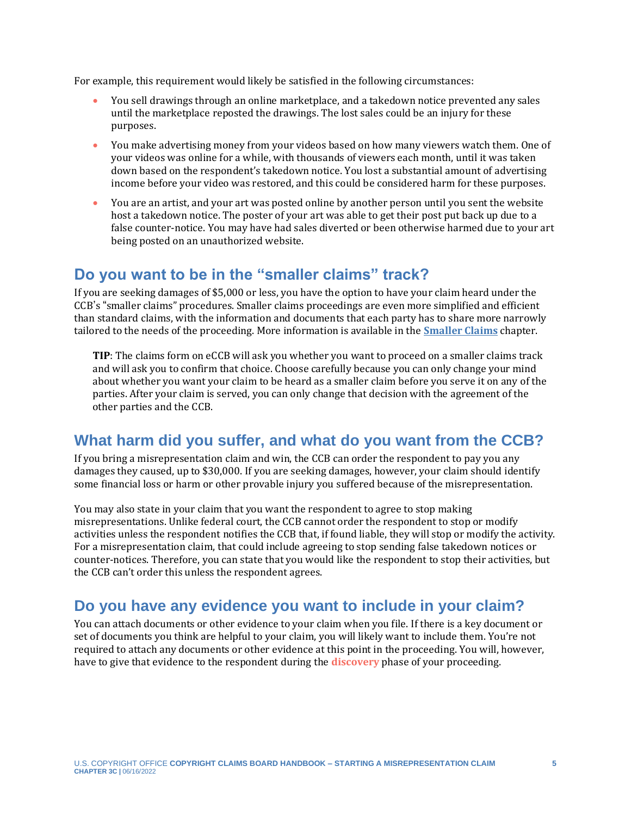For example, this requirement would likely be satisfied in the following circumstances:

- You sell drawings through an online marketplace, and a takedown notice prevented any sales until the marketplace reposted the drawings. The lost sales could be an injury for these purposes.
- You make advertising money from your videos based on how many viewers watch them. One of your videos was online for a while, with thousands of viewers each month, until it was taken down based on the respondent's takedown notice. You lost a substantial amount of advertising income before your video was restored, and this could be considered harm for these purposes.
- You are an artist, and your art was posted online by another person until you sent the website host a takedown notice. The poster of your art was able to get their post put back up due to a false counter-notice. You may have had sales diverted or been otherwise harmed due to your art being posted on an unauthorized website.

### **Do you want to be in the "smaller claims" track?**

If you are seeking damages of \$5,000 or less, you have the option to have your claim heard under the CCB's "smaller claims" procedures. Smaller claims proceedings are even more simplified and efficient than standard claims, with the information and documents that each party has to share more narrowly tailored to the needs of the proceeding. More information is available in the **[Smaller Claims](https://ccb.gov/handbook/Smaller-Claims.pdf)** chapter.

**TIP**: The claims form on eCCB will ask you whether you want to proceed on a smaller claims track and will ask you to confirm that choice. Choose carefully because you can only change your mind about whether you want your claim to be heard as a smaller claim before you serve it on any of the parties. After your claim is served, you can only change that decision with the agreement of the other parties and the CCB.

### **What harm did you suffer, and what do you want from the CCB?**

If you bring a misrepresentation claim and win, the CCB can order the respondent to pay you any damages they caused, up to \$30,000. If you are seeking damages, however, your claim should identify some financial loss or harm or other provable injury you suffered because of the misrepresentation.

You may also state in your claim that you want the respondent to agree to stop making misrepresentations. Unlike federal court, the CCB cannot order the respondent to stop or modify activities unless the respondent notifies the CCB that, if found liable, they will stop or modify the activity. For a misrepresentation claim, that could include agreeing to stop sending false takedown notices or counter-notices. Therefore, you can state that you would like the respondent to stop their activities, but the CCB can't order this unless the respondent agrees.

### <span id="page-4-0"></span>**Do you have any evidence you want to include in your claim?**

<span id="page-4-1"></span>You can attach documents or other evidence to your claim when you file. If there is a key document or set of documents you think are helpful to your claim, you will likely want to include them. You're not required to attach any documents or other evidence at this point in the proceeding. You will, however, have to give that evidence to the respondent during the **[discovery](#page-12-0)** phase of your proceeding.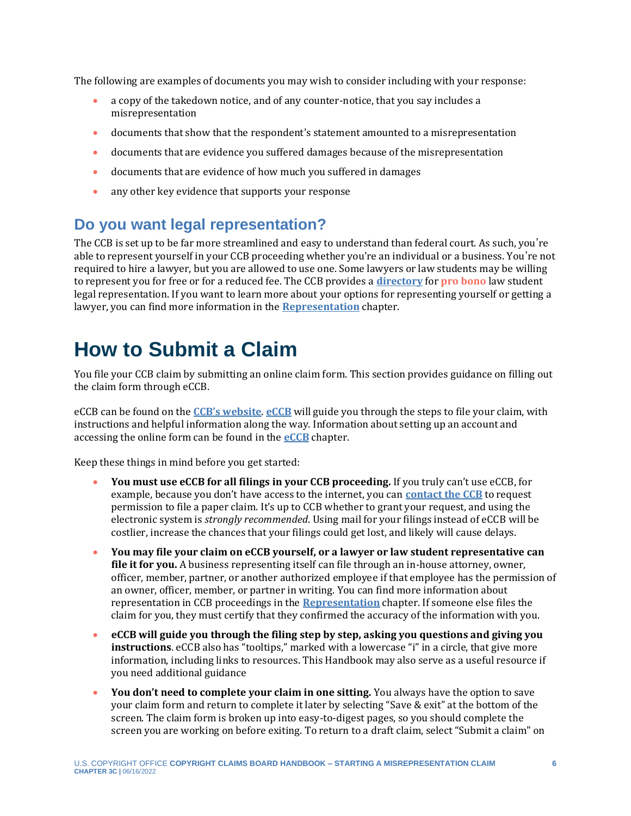The following are examples of documents you may wish to consider including with your response:

- a copy of the takedown notice, and of any counter-notice, that you say includes a misrepresentation
- documents that show that the respondent's statement amounted to a misrepresentation
- documents that are evidence you suffered damages because of the misrepresentation
- documents that are evidence of how much you suffered in damages
- <span id="page-5-1"></span>• any other key evidence that supports your response

## **Do you want legal representation?**

The CCB is set up to be far more streamlined and easy to understand than federal court. As such, you're able to represent yourself in your CCB proceeding whether you're an individual or a business. You're not required to hire a lawyer, but you are allowed to use one. Some lawyers or law students may be willing to represent you for free or for a reduced fee. The CCB provides a **[directory](https://ccb.gov/pro-bono-assistance/)** for **[pro bono](#page-12-0)** law student legal representation. If you want to learn more about your options for representing yourself or getting a lawyer, you can find more information in the **[Representation](https://ccb.gov/handbook/Representation.pdf)** chapter.

## <span id="page-5-0"></span>**How to Submit a Claim**

You file your CCB claim by submitting an online claim form. This section provides guidance on filling out the claim form through eCCB.

eCCB can be found on the **[CCB's website](https://ccb.gov/)**. **[eCCB](https://dockets.ccb.gov/)** will guide you through the steps to file your claim, with instructions and helpful information along the way. Information about setting up an account and accessing the online form can be found in the **[eCCB](https://ccb.gov/handbook/eCCB.pdf)** chapter.

Keep these things in mind before you get started:

- **You must use eCCB for all filings in your CCB proceeding.** If you truly can't use eCCB, for example, because you don't have access to the internet, you can **[contact the CCB](https://ccb.gov/contact/)** to request permission to file a paper claim. It's up to CCB whether to grant your request, and using the electronic system is *strongly recommended*. Using mail for your filings instead of eCCB will be costlier, increase the chances that your filings could get lost, and likely will cause delays.
- **You may file your claim on eCCB yourself, or a lawyer or law student representative can file it for you.** A business representing itself can file through an in-house attorney, owner, officer, member, partner, or another authorized employee if that employee has the permission of an owner, officer, member, or partner in writing. You can find more information about representation in CCB proceedings in the **[Representation](https://ccb.gov/handbook/Representation.pdf)** chapter. If someone else files the claim for you, they must certify that they confirmed the accuracy of the information with you.
- **eCCB will guide you through the filing step by step, asking you questions and giving you instructions**. eCCB also has "tooltips," marked with a lowercase "i" in a circle, that give more information, including links to resources. This Handbook may also serve as a useful resource if you need additional guidance
- **You don't need to complete your claim in one sitting.** You always have the option to save your claim form and return to complete it later by selecting "Save & exit" at the bottom of the screen. The claim form is broken up into easy-to-digest pages, so you should complete the screen you are working on before exiting. To return to a draft claim, select "Submit a claim" on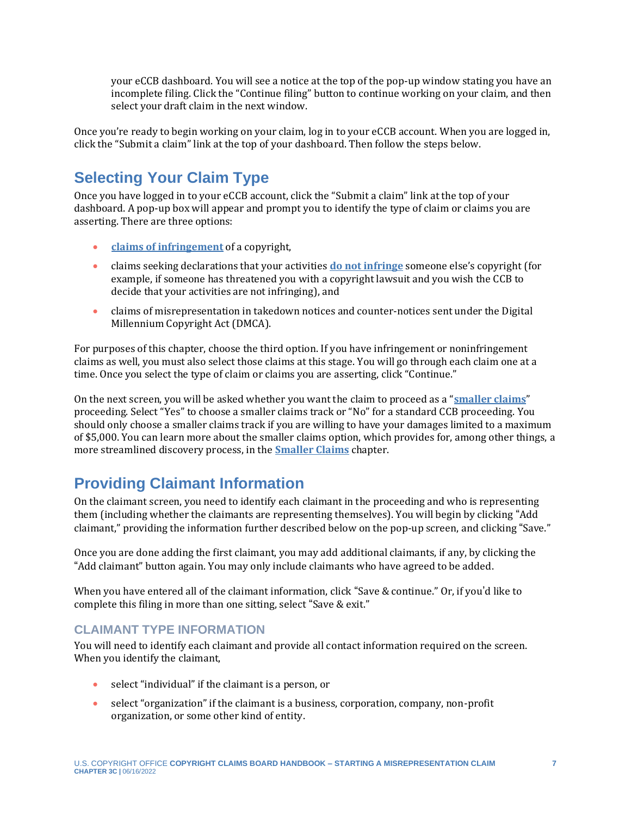your eCCB dashboard. You will see a notice at the top of the pop-up window stating you have an incomplete filing. Click the "Continue filing" button to continue working on your claim, and then select your draft claim in the next window.

Once you're ready to begin working on your claim, log in to your eCCB account. When you are logged in, click the "Submit a claim" link at the top of your dashboard. Then follow the steps below.

## **Selecting Your Claim Type**

Once you have logged in to your eCCB account, click the "Submit a claim" link at the top of your dashboard. A pop-up box will appear and prompt you to identify the type of claim or claims you are asserting. There are three options:

- **[claims of infringement](https://ccb.gov/handbook/Infringement-Claim.pdf)** of a copyright,
- claims seeking declarations that your activities **[do not infringe](https://ccb.gov/handbook/Noninfringement-Claim.pdf)** someone else's copyright (for example, if someone has threatened you with a copyright lawsuit and you wish the CCB to decide that your activities are not infringing), and
- claims of misrepresentation in takedown notices and counter-notices sent under the Digital Millennium Copyright Act (DMCA).

For purposes of this chapter, choose the third option. If you have infringement or noninfringement claims as well, you must also select those claims at this stage. You will go through each claim one at a time. Once you select the type of claim or claims you are asserting, click "Continue."

On the next screen, you will be asked whether you want the claim to proceed as a "**[smaller claims](https://ccb.gov/handbook/Smaller-Claims.pdf)**" proceeding. Select "Yes" to choose a smaller claims track or "No" for a standard CCB proceeding. You should only choose a smaller claims track if you are willing to have your damages limited to a maximum of \$5,000. You can learn more about the smaller claims option, which provides for, among other things, a more streamlined discovery process, in the **[Smaller Claims](https://ccb.gov/handbook/Smaller-Claims.pdf)** chapter.

## **Providing Claimant Information**

On the claimant screen, you need to identify each claimant in the proceeding and who is representing them (including whether the claimants are representing themselves). You will begin by clicking "Add claimant," providing the information further described below on the pop-up screen, and clicking "Save."

Once you are done adding the first claimant, you may add additional claimants, if any, by clicking the "Add claimant" button again. You may only include claimants who have agreed to be added.

When you have entered all of the claimant information, click "Save & continue." Or, if you'd like to complete this filing in more than one sitting, select "Save & exit."

#### **CLAIMANT TYPE INFORMATION**

You will need to identify each claimant and provide all contact information required on the screen. When you identify the claimant,

- select "individual" if the claimant is a person, or
- select "organization" if the claimant is a business, corporation, company, non-profit organization, or some other kind of entity.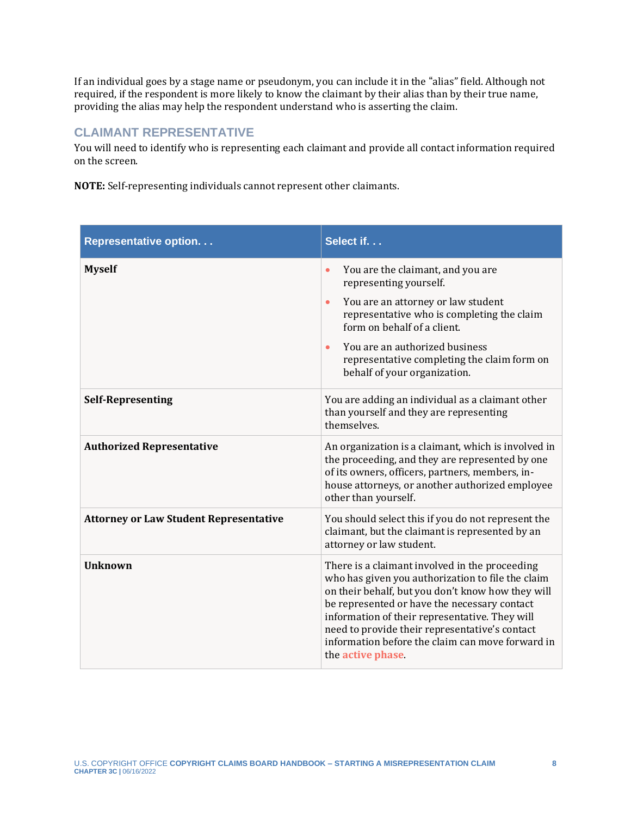If an individual goes by a stage name or pseudonym, you can include it in the "alias" field. Although not required, if the respondent is more likely to know the claimant by their alias than by their true name, providing the alias may help the respondent understand who is asserting the claim.

#### **CLAIMANT REPRESENTATIVE**

You will need to identify who is representing each claimant and provide all contact information required on the screen.

**NOTE:** Self-representing individuals cannot represent other claimants.

| Representative option                         | Select if.                                                                                                                                                                                                                                                                                                                                                                           |
|-----------------------------------------------|--------------------------------------------------------------------------------------------------------------------------------------------------------------------------------------------------------------------------------------------------------------------------------------------------------------------------------------------------------------------------------------|
| <b>Myself</b>                                 | You are the claimant, and you are<br>$\bullet$<br>representing yourself.                                                                                                                                                                                                                                                                                                             |
|                                               | You are an attorney or law student<br>$\bullet$<br>representative who is completing the claim<br>form on behalf of a client.                                                                                                                                                                                                                                                         |
|                                               | You are an authorized business<br>$\bullet$<br>representative completing the claim form on<br>behalf of your organization.                                                                                                                                                                                                                                                           |
| <b>Self-Representing</b>                      | You are adding an individual as a claimant other<br>than yourself and they are representing<br>themselves.                                                                                                                                                                                                                                                                           |
| <b>Authorized Representative</b>              | An organization is a claimant, which is involved in<br>the proceeding, and they are represented by one<br>of its owners, officers, partners, members, in-<br>house attorneys, or another authorized employee<br>other than yourself.                                                                                                                                                 |
| <b>Attorney or Law Student Representative</b> | You should select this if you do not represent the<br>claimant, but the claimant is represented by an<br>attorney or law student.                                                                                                                                                                                                                                                    |
| <b>Unknown</b>                                | There is a claimant involved in the proceeding<br>who has given you authorization to file the claim<br>on their behalf, but you don't know how they will<br>be represented or have the necessary contact<br>information of their representative. They will<br>need to provide their representative's contact<br>information before the claim can move forward in<br>the active phase |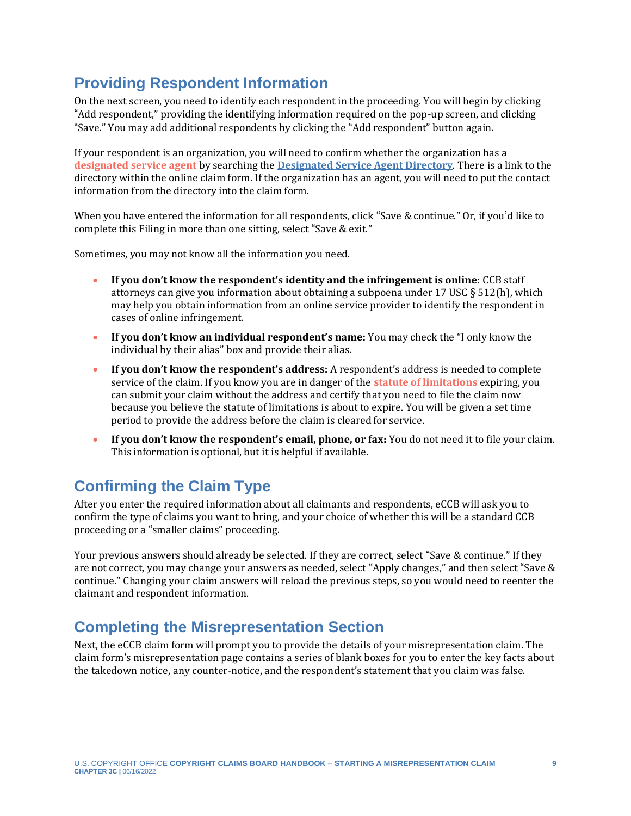## **Providing Respondent Information**

On the next screen, you need to identify each respondent in the proceeding. You will begin by clicking "Add respondent," providing the identifying information required on the pop-up screen, and clicking "Save." You may add additional respondents by clicking the "Add respondent" button again.

<span id="page-8-0"></span>If your respondent is an organization, you will need to confirm whether the organization has a **[designated service agent](#page-12-0)** by searching the **[Designated Service Agent Directory](https://agent-directory.ccb.gov/)**. There is a link to the directory within the online claim form. If the organization has an agent, you will need to put the contact information from the directory into the claim form.

When you have entered the information for all respondents, click "Save & continue." Or, if you'd like to complete this Filing in more than one sitting, select "Save & exit."

Sometimes, you may not know all the information you need.

- **If you don't know the respondent's identity and the infringement is online:** CCB staff attorneys can give you information about obtaining a subpoena under 17 USC § 512(h), which may help you obtain information from an online service provider to identify the respondent in cases of online infringement.
- **If you don't know an individual respondent's name:** You may check the "I only know the individual by their alias" box and provide their alias.
- <span id="page-8-1"></span>• **If you don't know the respondent's address:** A respondent's address is needed to complete service of the claim. If you know you are in danger of the **[statute of limitations](#page-12-0)** expiring, you can submit your claim without the address and certify that you need to file the claim now because you believe the statute of limitations is about to expire. You will be given a set time period to provide the address before the claim is cleared for service.
- **If you don't know the respondent's email, phone, or fax:** You do not need it to file your claim. This information is optional, but it is helpful if available.

## **Confirming the Claim Type**

After you enter the required information about all claimants and respondents, eCCB will ask you to confirm the type of claims you want to bring, and your choice of whether this will be a standard CCB proceeding or a "smaller claims" proceeding.

Your previous answers should already be selected. If they are correct, select "Save & continue." If they are not correct, you may change your answers as needed, select "Apply changes," and then select "Save & continue." Changing your claim answers will reload the previous steps, so you would need to reenter the claimant and respondent information.

## **Completing the Misrepresentation Section**

Next, the eCCB claim form will prompt you to provide the details of your misrepresentation claim. The claim form's misrepresentation page contains a series of blank boxes for you to enter the key facts about the takedown notice, any counter-notice, and the respondent's statement that you claim was false.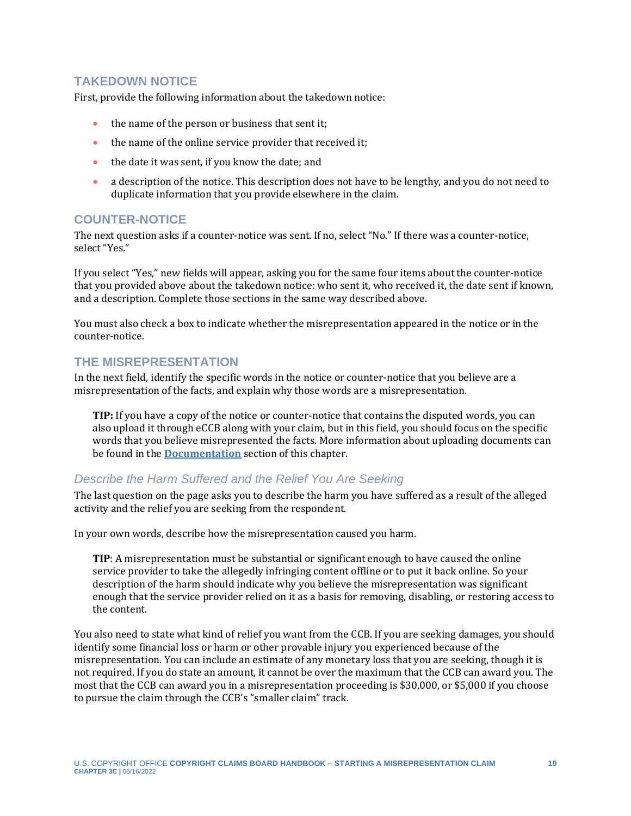#### **TAKEDOWN NOTICE**

First, provide the following information about the takedown notice:

- the name of the person or business that sent it;
- the name of the online service provider that received it;
- the date it was sent, if you know the date; and
- a description of the notice. This description does not have to be lengthy, and you do not need to duplicate information that you provide elsewhere in the claim.

#### **COUNTER-NOTICE**

The next question asks if a counter-notice was sent. If no, select "No." If there was a counter-notice, select "Yes."

If you select "Yes," new fields will appear, asking you for the same four items about the counter-notice that you provided above about the takedown notice: who sent it, who received it, the date sent if known, and a description. Complete those sections in the same way described above.

You must also check a box to indicate whether the misrepresentation appeared in the notice or in the counter-notice.

#### **THE MISREPRESENTATION**

In the next field, identify the specific words in the notice or counter-notice that you believe are a misrepresentation of the facts, and explain why those words are a misrepresentation.

**TIP:** If you have a copy of the notice or counter-notice that contains the disputed words, you can also upload it through eCCB along with your claim, but in this field, you should focus on the specific words that you believe misrepresented the facts. More information about uploading documents can be found in the **[Documentation](#page-10-0)** section of this chapter.

#### *Describe the Harm Suffered and the Relief You Are Seeking*

The last question on the page asks you to describe the harm you have suffered as a result of the alleged activity and the relief you are seeking from the respondent.

In your own words, describe how the misrepresentation caused you harm.

**TIP**: A misrepresentation must be substantial or significant enough to have caused the online service provider to take the allegedly infringing content offline or to put it back online. So your description of the harm should indicate why you believe the misrepresentation was significant enough that the service provider relied on it as a basis for removing, disabling, or restoring access to the content.

You also need to state what kind of relief you want from the CCB. If you are seeking damages, you should identify some financial loss or harm or other provable injury you experienced because of the misrepresentation. You can include an estimate of any monetary loss that you are seeking, though it is not required. If you do state an amount, it cannot be over the maximum that the CCB can award you. The most that the CCB can award you in a misrepresentation proceeding is \$30,000, or \$5,000 if you choose to pursue the claim through the CCB's "smaller claim" track.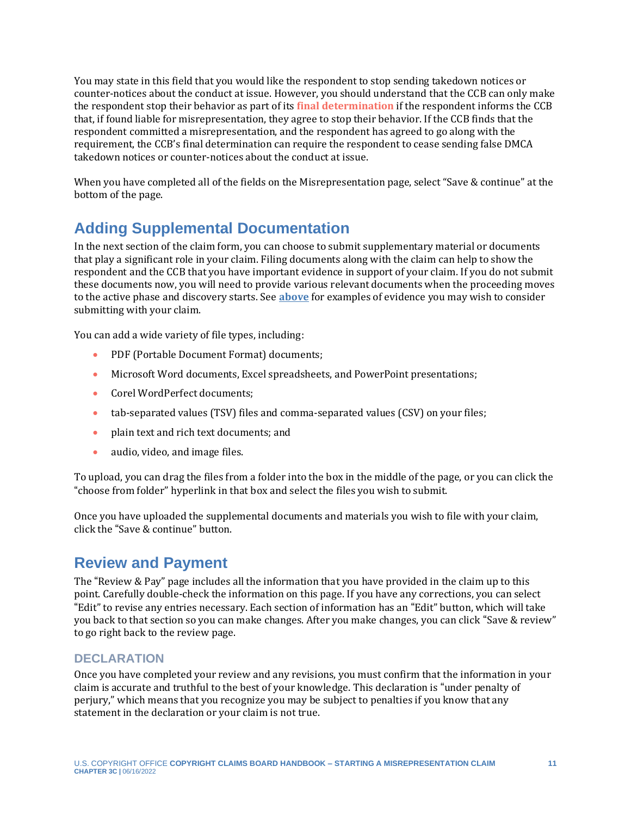<span id="page-10-1"></span>You may state in this field that you would like the respondent to stop sending takedown notices or counter-notices about the conduct at issue. However, you should understand that the CCB can only make the respondent stop their behavior as part of its **[final determination](#page-12-0)** if the respondent informs the CCB that, if found liable for misrepresentation, they agree to stop their behavior. If the CCB finds that the respondent committed a misrepresentation, and the respondent has agreed to go along with the requirement, the CCB's final determination can require the respondent to cease sending false DMCA takedown notices or counter-notices about the conduct at issue.

When you have completed all of the fields on the Misrepresentation page, select "Save & continue" at the bottom of the page.

## <span id="page-10-0"></span>**Adding Supplemental Documentation**

In the next section of the claim form, you can choose to submit supplementary material or documents that play a significant role in your claim. Filing documents along with the claim can help to show the respondent and the CCB that you have important evidence in support of your claim. If you do not submit these documents now, you will need to provide various relevant documents when the proceeding moves to the active phase and discovery starts. See **[above](#page-4-0)** for examples of evidence you may wish to consider submitting with your claim.

You can add a wide variety of file types, including:

- PDF (Portable Document Format) documents;
- Microsoft Word documents, Excel spreadsheets, and PowerPoint presentations;
- Corel WordPerfect documents:
- tab-separated values (TSV) files and comma-separated values (CSV) on your files;
- plain text and rich text documents; and
- audio, video, and image files.

To upload, you can drag the files from a folder into the box in the middle of the page, or you can click the "choose from folder" hyperlink in that box and select the files you wish to submit.

Once you have uploaded the supplemental documents and materials you wish to file with your claim, click the "Save & continue" button.

### **Review and Payment**

The "Review & Pay" page includes all the information that you have provided in the claim up to this point. Carefully double-check the information on this page. If you have any corrections, you can select "Edit" to revise any entries necessary. Each section of information has an "Edit" button, which will take you back to that section so you can make changes. After you make changes, you can click "Save & review" to go right back to the review page.

#### **DECLARATION**

Once you have completed your review and any revisions, you must confirm that the information in your claim is accurate and truthful to the best of your knowledge. This declaration is "under penalty of perjury," which means that you recognize you may be subject to penalties if you know that any statement in the declaration or your claim is not true.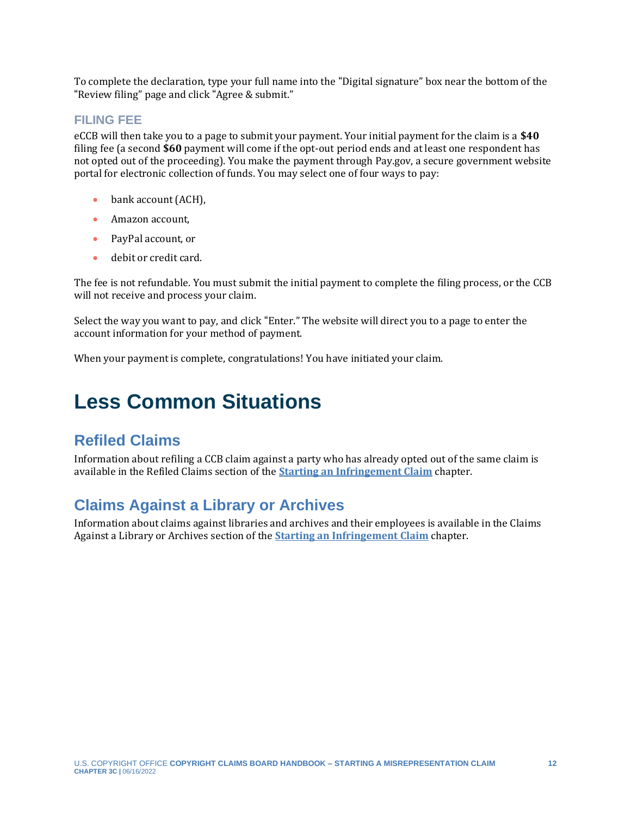To complete the declaration, type your full name into the "Digital signature" box near the bottom of the "Review filing" page and click "Agree & submit."

#### **FILING FEE**

eCCB will then take you to a page to submit your payment. Your initial payment for the claim is a **\$40** filing fee (a second **\$60** payment will come if the opt-out period ends and at least one respondent has not opted out of the proceeding). You make the payment through Pay.gov, a secure government website portal for electronic collection of funds. You may select one of four ways to pay:

- bank account (ACH),
- Amazon account.
- PayPal account, or
- debit or credit card.

The fee is not refundable. You must submit the initial payment to complete the filing process, or the CCB will not receive and process your claim.

Select the way you want to pay, and click "Enter." The website will direct you to a page to enter the account information for your method of payment.

When your payment is complete, congratulations! You have initiated your claim.

## <span id="page-11-0"></span>**Less Common Situations**

### **Refiled Claims**

Information about refiling a CCB claim against a party who has already opted out of the same claim is available in the Refiled Claims section of the **[Starting an Infringement Claim](https://ccb.gov/handbook/Infringement-Claim.pdf)** chapter.

### **Claims Against a Library or Archives**

Information about claims against libraries and archives and their employees is available in the Claims Against a Library or Archives section of the **[Starting an Infringement Claim](https://ccb.gov/handbook/Infringement-Claim.pdf)** chapter.